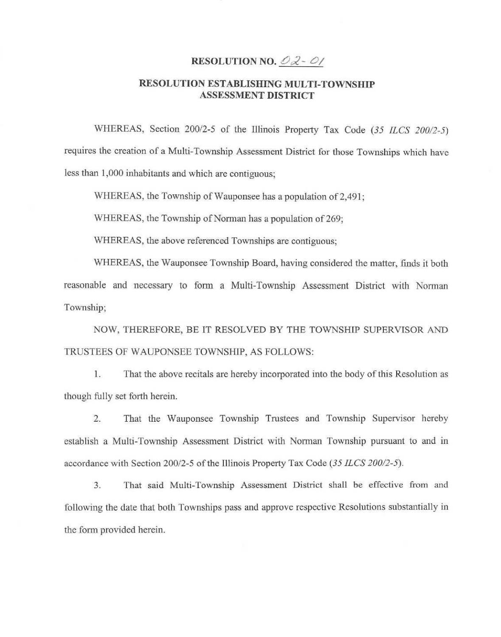## RESOLUTION NO.  $OZ - O$

## RESOLUTION ESTABLISHING MULTI-TOWNSHIP ASSESSMENT DISTRICT

WHEREAS, Section 200/2-5 of the Illinois Property Tax Code *(35 ILCS 200/2-5)*  requires the creation of a Multi-Township Assessment District for those Townships which have less than 1,000 inhabitants and which are contiguous;

WHEREAS, the Township of Wauponsee has a population of 2,491;

WHEREAS, the Township of Norman has a population of 269;

WHEREAS, the above referenced Townships are contiguous;

WHEREAS, the Wauponsee Township Board, having considered the matter, finds it both reasonable and necessary to form a Multi-Township Assessment District with Norman Township;

NOW, THEREFORE, BE IT RESOLVED BY THE TOWNSHIP SUPERVISOR AND TRUSTEES OF WAUPONSEE TOWNSHIP, AS FOLLOWS:

1. That the above recitals are hereby incorporated into the body of this Resolution as though fully set forth herein.

2. That the Wauponsee Township Trustees and Township Supervisor hereby establish a Multi-Township Assessment District with Norman Township pursuant to and in accordance with Section 200/2-5 of the Illinois Property Tax Code *(35 ILCS 200/2-5).* 

3. That said Multi-Township Assessment District shall be effective from and following the date that both Townships pass and approve respective Resolutions substantially in the form provided herein.